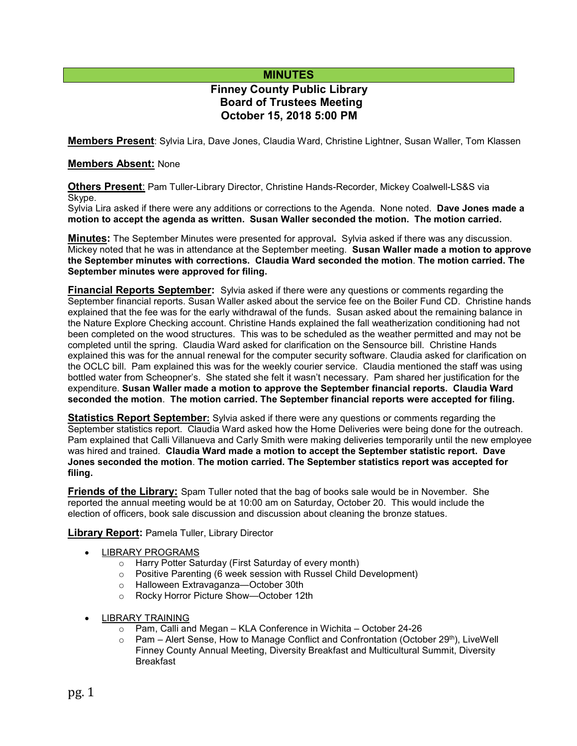# **MINUTES**

# **Finney County Public Library Board of Trustees Meeting October 15, 2018 5:00 PM**

**Members Present**: Sylvia Lira, Dave Jones, Claudia Ward, Christine Lightner, Susan Waller, Tom Klassen

#### **Members Absent:** None

**Others Present**: Pam Tuller-Library Director, Christine Hands-Recorder, Mickey Coalwell-LS&S via Skype.

Sylvia Lira asked if there were any additions or corrections to the Agenda. None noted. **Dave Jones made a motion to accept the agenda as written. Susan Waller seconded the motion. The motion carried.**

**Minutes:** The September Minutes were presented for approval**.** Sylvia asked if there was any discussion. Mickey noted that he was in attendance at the September meeting. **Susan Waller made a motion to approve the September minutes with corrections. Claudia Ward seconded the motion**. **The motion carried. The September minutes were approved for filing.** 

**Financial Reports September:** Sylvia asked if there were any questions or comments regarding the September financial reports. Susan Waller asked about the service fee on the Boiler Fund CD. Christine hands explained that the fee was for the early withdrawal of the funds. Susan asked about the remaining balance in the Nature Explore Checking account. Christine Hands explained the fall weatherization conditioning had not been completed on the wood structures. This was to be scheduled as the weather permitted and may not be completed until the spring. Claudia Ward asked for clarification on the Sensource bill. Christine Hands explained this was for the annual renewal for the computer security software. Claudia asked for clarification on the OCLC bill. Pam explained this was for the weekly courier service. Claudia mentioned the staff was using bottled water from Scheopner's. She stated she felt it wasn't necessary. Pam shared her justification for the expenditure. **Susan Waller made a motion to approve the September financial reports. Claudia Ward seconded the motion**. **The motion carried. The September financial reports were accepted for filing.**

**Statistics Report September:** Sylvia asked if there were any questions or comments regarding the September statistics report. Claudia Ward asked how the Home Deliveries were being done for the outreach. Pam explained that Calli Villanueva and Carly Smith were making deliveries temporarily until the new employee was hired and trained. **Claudia Ward made a motion to accept the September statistic report. Dave Jones seconded the motion**. **The motion carried. The September statistics report was accepted for filing.**

**Friends of the Library:** Spam Tuller noted that the bag of books sale would be in November. She reported the annual meeting would be at 10:00 am on Saturday, October 20. This would include the election of officers, book sale discussion and discussion about cleaning the bronze statues.

**Library Report:** Pamela Tuller, Library Director

- LIBRARY PROGRAMS
	- o Harry Potter Saturday (First Saturday of every month)
	- o Positive Parenting (6 week session with Russel Child Development)
	- o Halloween Extravaganza—October 30th
	- o Rocky Horror Picture Show—October 12th
- LIBRARY TRAINING
	- o Pam, Calli and Megan KLA Conference in Wichita October 24-26<br>○ Pam Alert Sense, How to Manage Conflict and Confrontation (Octob
	- Pam Alert Sense, How to Manage Conflict and Confrontation (October 29<sup>th</sup>), LiveWell Finney County Annual Meeting, Diversity Breakfast and Multicultural Summit, Diversity Breakfast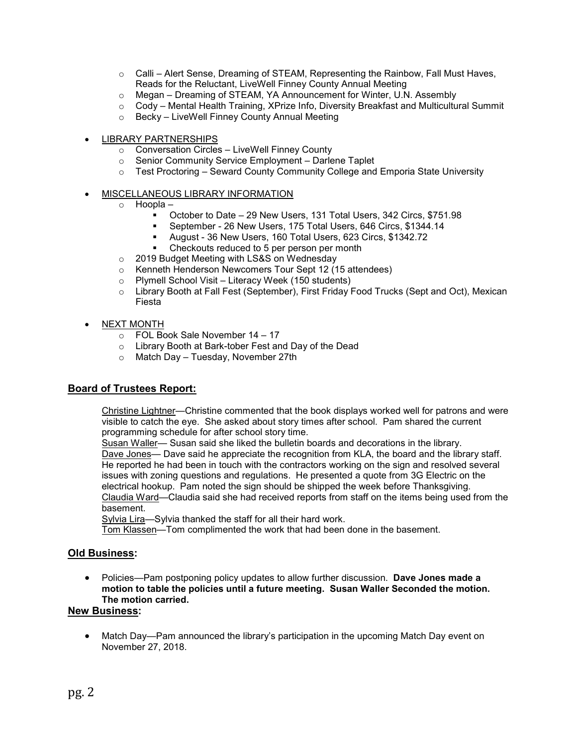- $\circ$  Calli Alert Sense, Dreaming of STEAM, Representing the Rainbow, Fall Must Haves, Reads for the Reluctant, LiveWell Finney County Annual Meeting
- o Megan Dreaming of STEAM, YA Announcement for Winter, U.N. Assembly
- o Cody Mental Health Training, XPrize Info, Diversity Breakfast and Multicultural Summit
- o Becky LiveWell Finney County Annual Meeting
- LIBRARY PARTNERSHIPS
	- o Conversation Circles LiveWell Finney County
	- o Senior Community Service Employment Darlene Taplet
	- o Test Proctoring Seward County Community College and Emporia State University
- MISCELLANEOUS LIBRARY INFORMATION
	- o Hoopla
		- October to Date 29 New Users, 131 Total Users, 342 Circs, \$751.98
		- September 26 New Users, 175 Total Users, 646 Circs, \$1344.14
		- August 36 New Users, 160 Total Users, 623 Circs, \$1342.72
		- Checkouts reduced to 5 per person per month
	- o 2019 Budget Meeting with LS&S on Wednesday
	- o Kenneth Henderson Newcomers Tour Sept 12 (15 attendees)
	- o Plymell School Visit Literacy Week (150 students)
	- o Library Booth at Fall Fest (September), First Friday Food Trucks (Sept and Oct), Mexican Fiesta
- NEXT MONTH
	- o FOL Book Sale November 14 17
	- o Library Booth at Bark-tober Fest and Day of the Dead
	- o Match Day Tuesday, November 27th

#### **Board of Trustees Report:**

Christine Lightner—Christine commented that the book displays worked well for patrons and were visible to catch the eye. She asked about story times after school. Pam shared the current programming schedule for after school story time.

Susan Waller-Susan said she liked the bulletin boards and decorations in the library. Dave Jones— Dave said he appreciate the recognition from KLA, the board and the library staff. He reported he had been in touch with the contractors working on the sign and resolved several issues with zoning questions and regulations. He presented a quote from 3G Electric on the electrical hookup. Pam noted the sign should be shipped the week before Thanksgiving. Claudia Ward—Claudia said she had received reports from staff on the items being used from the basement.

Sylvia Lira—Sylvia thanked the staff for all their hard work.

Tom Klassen—Tom complimented the work that had been done in the basement.

#### **Old Business:**

• Policies—Pam postponing policy updates to allow further discussion. **Dave Jones made a motion to table the policies until a future meeting. Susan Waller Seconded the motion. The motion carried.**

### **New Business:**

• Match Day—Pam announced the library's participation in the upcoming Match Day event on November 27, 2018.